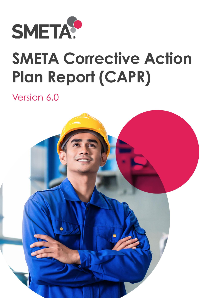

# **SMETA Corrective Action Plan Report (CAPR)**

## Version 6.0

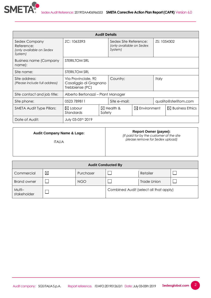

| <b>Audit Details</b>                                               |                                                                  |              |                                                              |                       |             |                             |
|--------------------------------------------------------------------|------------------------------------------------------------------|--------------|--------------------------------------------------------------|-----------------------|-------------|-----------------------------|
| Sedex Company<br>Reference:<br>(only available on Sedex<br>System) | ZC: 1063393                                                      |              | Sedex Site Reference:<br>(only available on Sedex<br>System) |                       | ZS: 1054302 |                             |
| <b>Business name (Company</b><br>name):                            | STERILTOM SRL                                                    |              |                                                              |                       |             |                             |
| Site name:                                                         | STERILTOM SRL                                                    |              |                                                              |                       |             |                             |
| Site address:<br>(Please include full address)                     | Via Provinciale, 90<br>Casaliggio di Gragnano<br>Trebbiense (PC) |              | Country:                                                     |                       | Italy       |                             |
| Site contact and job title:                                        | Alberto Bertonazzi - Plant Manager                               |              |                                                              |                       |             |                             |
| Site phone:                                                        | 0523 789811                                                      | Site e-mail: |                                                              | qualita@steriltom.com |             |                             |
| <b>SMETA Audit Type Pillars:</b>                                   | $\boxtimes$ Labour<br>Standards<br>Safety                        |              | $\boxtimes$ Environment<br>$\boxtimes$ Health &              |                       |             | $\boxtimes$ Business Ethics |
| Date of Audit:                                                     | July 03-05th 2019                                                |              |                                                              |                       |             |                             |

#### **Audit Company Name & Logo:**

#### **Report Owner (payee):**

2

*(If paid for by the customer of the site please remove for Sedex upload)*

ITALIA

| <b>Audit Conducted By</b> |   |            |                                        |             |  |
|---------------------------|---|------------|----------------------------------------|-------------|--|
| Commercial                | ⊠ | Purchaser  |                                        | Retailer    |  |
| <b>Brand owner</b>        |   | <b>NGO</b> |                                        | Trade Union |  |
| Multi-<br>stakeholder     |   |            | Combined Audit (select all that apply) |             |  |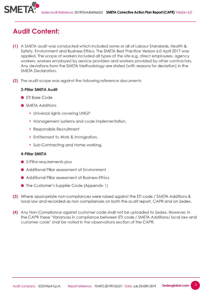

## **Audit Content:**

- (1) A SMETA audit was conducted which included some or all of Labour Standards, Health & Safety, Environment and Business Ethics. The SMETA Best Practice Version 6.0 April 2017 was applied. The scope of workers included all types at the site e.g. direct employees, agency workers, workers employed by service providers and workers provided by other contractors. Any deviations from the SMETA Methodology are stated (with reasons for deviation) in the **SMETA Declaration.**
- (2) The audit scope was against the following reference documents

#### 2-Pillar SMETA Audit

- ETI Base Code
- SMETA Additions
	- Universal rights covering UNGP
	- Management systems and code implementation,
	- Responsible Recruitment
	- Entitlement to Work & Immigration,
	- Sub-Contracting and Home working,

#### **4-Pillar SMETA**

- 2-Pillar requirements plus
- Additional Pillar assessment of Environment
- Additional Pillar assessment of Business Ethics
- The Customer's Supplier Code (Appendix 1)
- (3) Where appropriate non-compliances were raised against the ETI code / SMETA Additions & local law and recorded as non compliances on both the audit report, CAPR and on Sedex.
- (4) Any Non-Compliance against customer code shall not be uploaded to Sedex. However, in the CAPR these 'Variances in compliance between ETI code / SMETA Additions/ local law and customer code' shall be noted in the observations section of the CAPR.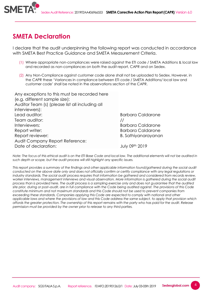

### **SMETA Declaration**

I declare that the audit underpinning the following report was conducted in accordance with SMETA Best Practice Guidance and SMETA Measurement Criteria.

- (1) Where appropriate non-compliances were raised against the ETI code / SMETA Additions & local law and recorded as non-compliances on both the audit report, CAPR and on Sedex.
- (2) Any Non-Compliance against customer code alone shall not be uploaded to Sedex. However, in the CAPR these 'Variances in compliance between ETI code / SMETA Additions/ local law and customer code' shall be noted in the observations section of the CAPR.

| Any exceptions to this must be recorded here    |                            |
|-------------------------------------------------|----------------------------|
| (e.g. different sample size):                   |                            |
| Auditor Team (s) (please list all including all |                            |
| interviewers):                                  |                            |
| Lead auditor:                                   | <b>Barbara Caldarone</b>   |
| Team auditor:                                   |                            |
| Interviewers:                                   | <b>Barbara Caldarone</b>   |
| Report writer:                                  | <b>Barbara Caldarone</b>   |
| Report reviewer:                                | <b>B.</b> Sathiyanarayanan |
| Audit Company Report Reference:                 |                            |
| Date of declaration:                            | July 09 <sup>th</sup> 2019 |

*Note: The focus of this ethical audit is on the ETI Base Code and local law. The additional elements will not be audited in such depth or scope, but the audit process will still highlight any specific issues.*

*This report provides a summary of the findings and other applicable information found/gathered during the social audit conducted on the above date only and does not officially confirm or certify compliance with any legal regulations or industry standards. The social audit process requires that information be gathered and considered from records review, worker interviews, management interviews and visual observation. More information is gathered during the social audit process than is provided here. The audit process is a sampling exercise only and does not guarantee that the audited site prior, during or post–audit, are in full compliance with the Code being audited against. The provisions of this Code constitute minimum and not maximum standards and this Code should not be used to prevent companies from exceeding these standards. Companies applying this Code are expected to comply with national and other applicable laws and where the provisions of law and this Code address the same subject, to apply that provision which affords the greater protection. The ownership of this report remains with the party who has paid for the audit. Release permission must be provided by the owner prior to release to any third parties.*

4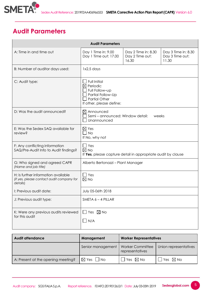

## **Audit Parameters**

| <b>Audit Parameters</b>                                                                      |                                                                                                                                        |                                                 |  |  |  |
|----------------------------------------------------------------------------------------------|----------------------------------------------------------------------------------------------------------------------------------------|-------------------------------------------------|--|--|--|
| A: Time in and time out                                                                      | Day 1 Time in: 9.00<br>Day 1 Time out: 17.00                                                                                           | Day 3 Time in: 8.30<br>Day 3 Time out:<br>11.30 |  |  |  |
| B: Number of auditor days used:                                                              | 1x2,5 days                                                                                                                             |                                                 |  |  |  |
| C: Audit type:                                                                               | <b>Full Initial</b><br>$\boxtimes$ Periodic<br>Full Follow-up<br>Partial Follow-Up<br><b>Partial Other</b><br>If other, please define: |                                                 |  |  |  |
| D: Was the audit announced?                                                                  | $\boxtimes$ Announced<br>Semi-announced: Window detail:<br>weeks<br>Unannounced                                                        |                                                 |  |  |  |
| E: Was the Sedex SAQ available for<br>review?                                                | $\boxtimes$ Yes<br>$\Box$ No<br>If No, why not                                                                                         |                                                 |  |  |  |
| F: Any conflicting information<br>SAQ/Pre-Audit Info to Audit findings?                      | $\Box$ Yes<br>$\boxtimes$ No<br>If Yes, please capture detail in appropriate audit by clause                                           |                                                 |  |  |  |
| G: Who signed and agreed CAPR<br>(Name and job title)                                        | Alberto Bertonazzi - Plant Manager                                                                                                     |                                                 |  |  |  |
| H: Is further information available<br>(if yes, please contact audit company for<br>details) | $\Box$ Yes<br>$\boxtimes$ No                                                                                                           |                                                 |  |  |  |
| I: Previous audit date:                                                                      | July 05-06th 2018                                                                                                                      |                                                 |  |  |  |
| J: Previous audit type:                                                                      | SMETA 6 - 4 PILLAR                                                                                                                     |                                                 |  |  |  |
| K: Were any previous audits reviewed<br>for this audit                                       | $\Box$ Yes $\boxtimes$ No<br>$\square$ n/a                                                                                             |                                                 |  |  |  |

| <b>Audit attendance</b>            | Management                |                                            | <b>Worker Representatives</b> |  |  |
|------------------------------------|---------------------------|--------------------------------------------|-------------------------------|--|--|
|                                    | Senior management         | <b>Worker Committee</b><br>representatives | Union representatives         |  |  |
| A: Present at the opening meeting? | $\boxtimes$ Yes $\Box$ No | $JYes \times No$                           | 'Yes $\boxtimes$ No           |  |  |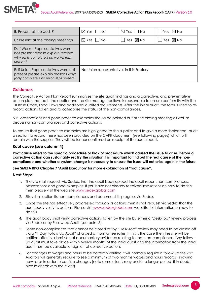

| B: Present at the audit?                                                                                                    | $\boxtimes$ Yes $\Box$ No                | $\boxtimes$ Yes $\Box$ No | $\Box$ Yes $\boxtimes$ No |
|-----------------------------------------------------------------------------------------------------------------------------|------------------------------------------|---------------------------|---------------------------|
| C: Present at the closing meeting?                                                                                          | $\boxtimes$ Yes $\Box$ No                | Yes $\boxtimes$ No        | Yes $\boxtimes$ No        |
| D: If Worker Representatives were<br>not present please explain reasons<br>why (only complete if no worker reps<br>present) |                                          |                           |                           |
| E: If Union Representatives were not<br>present please explain reasons why:<br>(only complete if no union reps present)     | No Union representatives in this Factory |                           |                           |

#### **Guidance:**

The Corrective Action Plan Report summarises the site audit findings and a corrective, and preventative action plan that both the auditor and the site manager believe is reasonable to ensure conformity with the ETI Base Code, Local Laws and additional audited requirements. After the initial audit, the form is used to rerecord actions taken and to categorise the status of the non-compliances.

N.B. observations and good practice examples should be pointed out at the closing meeting as well as discussing non-compliances and corrective actions.

To ensure that good practice examples are highlighted to the supplier and to give a more 'balanced' audit a section to record these has been provided on the CAPR document (see following pages) which will remain with the supplier. They will be further confirmed on receipt of the audit report.

#### **Root cause (see column 4)**

**Root cause refers to the specific procedure or lack of procedure which caused the issue to arise. Before a corrective action can sustainably rectify the situation it is important to find out the real cause of the noncompliance and whether a system change is necessary to ensure the issue will not arise again in the future.**

#### **See SMETA BPG Chapter 7 'Audit Execution' for more explanation of "root cause''.**

#### **Next Steps:**

- 1. The site shall request, via Sedex, that the audit body upload the audit report, non-compliances, observations and good examples. If you have not already received instructions on how to do this then please visit the web site [www.sedexglobal.com.](http://www.sedexglobal.com/)
- 2. Sites shall action its non-compliances and document its progress via Sedex.
- 3. Once the site has effectively progressed through its actions then it shall request via Sedex that the audit body verify its actions. Please visit [www.sedexglobal.com](http://www.sedexglobal.com/) web site for information on how to do this.
- 4. The audit body shall verify corrective actions taken by the site by either a "Desk-Top" review process via Sedex or by Follow-up Audit (see point 5).
- 5. Some non-compliances that cannot be closed off by "Desk-Top" review may need to be closed off via a "1 Day Follow Up Audit" charged at normal fee rates. If this is the case then the site will be notified after its submission of documentary evidence relating to that non-compliance. Any followup audit must take place within twelve months of the initial audit and the information from the initial audit must be available for sign off of corrective action.
- 6. For changes to wages and hours to be correctly verified it will normally require a follow up site visit. Auditors will generally require to see a minimum of two months wages and hours records, showing new rates in order to confirm changes (note some clients may ask for a longer period, if in doubt please check with the client).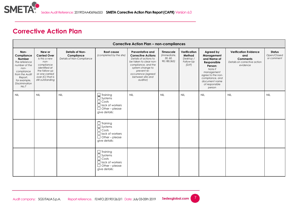

## **Corrective Action Plan**

|                                                                                                                                                                    | <b>Corrective Action Plan - non-compliances</b>                                                                                                                   |                                                            |                                                                                                                       |                                                                                                                                                                                                                  |                                                    |                                                           |                                                                                                                                                                                |                                                                                                    |                                            |
|--------------------------------------------------------------------------------------------------------------------------------------------------------------------|-------------------------------------------------------------------------------------------------------------------------------------------------------------------|------------------------------------------------------------|-----------------------------------------------------------------------------------------------------------------------|------------------------------------------------------------------------------------------------------------------------------------------------------------------------------------------------------------------|----------------------------------------------------|-----------------------------------------------------------|--------------------------------------------------------------------------------------------------------------------------------------------------------------------------------|----------------------------------------------------------------------------------------------------|--------------------------------------------|
| Non-<br>Compliance<br><b>Number</b><br>The reference<br>number of the<br>non-<br>compliance<br>from the Audit<br>Report,<br>for example,<br>Discrimination<br>No.7 | New or<br><b>Carried Over</b><br>Is this a new<br>non-<br>compliance<br>identified at<br>the follow-up<br>or one carried<br>over (C) that is<br>still outstanding | Details of Non-<br>Compliance<br>Details of Non-Compliance | Root cause<br>(completed by the site)                                                                                 | Preventative and<br><b>Corrective Actions</b><br>Details of actions to<br>be taken to clear non-<br>compliance, and the<br>system change to<br>prevent re-<br>occurrence (agreed<br>between site and<br>auditor) | Timescale<br>(Immediate,<br>30, 60,<br>90,180,365) | Verification<br>Method<br>Desktop /<br>Follow-Up<br>[D/F] | Agreed by<br>Management<br>and Name of<br>Responsible<br>Person:<br>Note if<br>management<br>agree to the non-<br>compliance, and<br>document name<br>of responsible<br>person | <b>Verification Evidence</b><br>and<br><b>Comments</b><br>Details on corrective action<br>evidence | <b>Status</b><br>Open/Closed<br>or comment |
| <b>NIL</b>                                                                                                                                                         | <b>NIL</b>                                                                                                                                                        | <b>NIL</b>                                                 | $\Box$ Training<br>$\Box$ Systems<br>$\Box$ Costs<br>$\Box$ lack of workers<br>$\Box$ Other – please<br>give details: | <b>NIL</b>                                                                                                                                                                                                       | <b>NIL</b>                                         | <b>NIL</b>                                                | <b>NIL</b>                                                                                                                                                                     | <b>NIL</b>                                                                                         | <b>NIL</b>                                 |
|                                                                                                                                                                    |                                                                                                                                                                   |                                                            | $\Box$ Training<br>$\Box$ Systems<br>$\Box$ Costs<br>$\Box$ lack of workers<br>$\Box$ Other – please<br>give details: |                                                                                                                                                                                                                  |                                                    |                                                           |                                                                                                                                                                                |                                                                                                    |                                            |
|                                                                                                                                                                    |                                                                                                                                                                   |                                                            | $\Box$ Training<br>$\Box$ Systems<br>$\Box$ Costs<br>$\Box$ lack of workers<br>$\Box$ Other – please<br>give details: |                                                                                                                                                                                                                  |                                                    |                                                           |                                                                                                                                                                                |                                                                                                    |                                            |

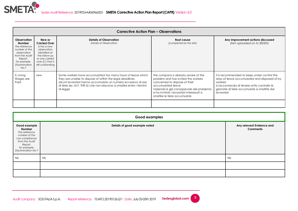

|                                                                                                                                                             | <b>Corrective Action Plan - Observations</b>                                                                                                                 |                                                                                                                                                                                                                                                                                |                                                                                                                                                                                                                                                          |                                                                                                                                                                                                                   |  |  |
|-------------------------------------------------------------------------------------------------------------------------------------------------------------|--------------------------------------------------------------------------------------------------------------------------------------------------------------|--------------------------------------------------------------------------------------------------------------------------------------------------------------------------------------------------------------------------------------------------------------------------------|----------------------------------------------------------------------------------------------------------------------------------------------------------------------------------------------------------------------------------------------------------|-------------------------------------------------------------------------------------------------------------------------------------------------------------------------------------------------------------------|--|--|
| <b>Observation</b><br><b>Number</b><br>The reference<br>number of the<br>observation<br>from the Audit<br>Report,<br>for example,<br>Discrimination<br>No.7 | New or<br><b>Carried Over</b><br>Is this a new<br>observation<br>identified at<br>the follow-up<br>or one carried<br>over $(C)$ that is<br>still outstanding | <b>Details of Observation</b><br>Details of Observation                                                                                                                                                                                                                        | Root cause<br>(completed by the site)                                                                                                                                                                                                                    | Any improvement actions discussed<br>(Not uploaded on to SEDEX)                                                                                                                                                   |  |  |
| 5: Living<br>Wages are<br>Paid                                                                                                                              | new                                                                                                                                                          | Some workers have accumulated too many hours of leave which<br>they are unable to dispose of within the legal deadlines.<br>alcuni lavoratori hanno accumulato un numero eccessivo di ore<br>di ferie (es. M.F. 939,5) che non riescono a smaltire entro i termini<br>di legge | the company is already aware of the<br>problem and has invited the workers<br>concerned to dispose of their<br>accumulated leave<br>l'azienda è già consapevole del problema<br>e ha invitato i lavoratori interessati a<br>smaltire le ferie accumulate | it is recommended to keep under control the<br>days of leave accumulated and disposed of by<br>workers<br>si raccomanda di tenere sotto controllo le<br>giornate di ferie accumulate e smaltite dai<br>lavoratori |  |  |
|                                                                                                                                                             |                                                                                                                                                              |                                                                                                                                                                                                                                                                                |                                                                                                                                                                                                                                                          |                                                                                                                                                                                                                   |  |  |

|                                                                                                                                                       | <b>Good examples</b>          |                                              |  |  |  |
|-------------------------------------------------------------------------------------------------------------------------------------------------------|-------------------------------|----------------------------------------------|--|--|--|
| Good example<br>Number<br>The reference<br>number of the<br>non-compliance<br>from the Audit<br>Report,<br>for example,<br><b>Discrimination No.7</b> | Details of good example noted | Any relevant Evidence and<br><b>Comments</b> |  |  |  |
| <b>NIL</b>                                                                                                                                            | <b>NIL</b>                    | <b>NIL</b>                                   |  |  |  |
|                                                                                                                                                       |                               |                                              |  |  |  |
|                                                                                                                                                       |                               |                                              |  |  |  |

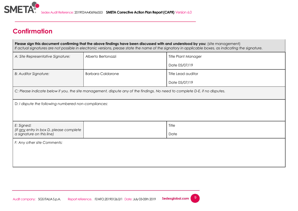

## **Confirmation**

**Please sign this document confirming that the above findings have been discussed with and understood by you:** (site management) *If actual signatures are not possible in electronic versions, please state the name of the signatory in applicable boxes, as indicating the signature.* A: Site Representative Signature: Alberto Bertonazzi **A: Site Representative Signature:** Alberto Bertonazzi

|                                                                |                                                                                                                             | Date 05/07/19      |  |  |  |  |
|----------------------------------------------------------------|-----------------------------------------------------------------------------------------------------------------------------|--------------------|--|--|--|--|
| <b>B: Auditor Signature:</b>                                   | <b>Barbara Caldarone</b>                                                                                                    | Title Lead auditor |  |  |  |  |
|                                                                |                                                                                                                             | Date 05/07/19      |  |  |  |  |
|                                                                | C: Please indicate below if you, the site management, dispute any of the findings. No need to complete D-E, if no disputes. |                    |  |  |  |  |
| D: I dispute the following numbered non-compliances:           |                                                                                                                             |                    |  |  |  |  |
|                                                                |                                                                                                                             |                    |  |  |  |  |
| E: Signed:<br>Title<br>(If any entry in box D, please complete |                                                                                                                             |                    |  |  |  |  |
| a signature on this line)                                      |                                                                                                                             | Date               |  |  |  |  |
| F: Any other site Comments:                                    |                                                                                                                             |                    |  |  |  |  |
|                                                                |                                                                                                                             |                    |  |  |  |  |
|                                                                |                                                                                                                             |                    |  |  |  |  |
|                                                                |                                                                                                                             |                    |  |  |  |  |

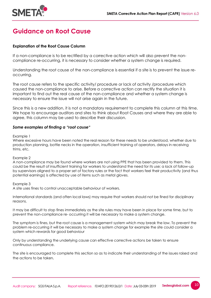

## **Guidance on Root Cause**

#### **Explanation of the Root Cause Column**

If a non-compliance is to be rectified by a corrective action which will also prevent the noncompliance re-occurring, it is necessary to consider whether a system change is required.

Understanding the root cause of the non-compliance is essential if a site is to prevent the issue reoccurring.

The root cause refers to the specific activity/ procedure or lack of activity /procedure which caused the non-compliance to arise. Before a corrective action can rectify the situation it is important to find out the real cause of the non-compliance and whether a system change is necessary to ensure the issue will not arise again in the future.

Since this is a new addition, it is not a mandatory requirement to complete this column at this time. We hope to encourage auditors and sites to think about Root Causes and where they are able to agree, this column may be used to describe their discussion.

#### *Some examples of finding a "root cause"*

Example 1

Where excessive hours have been noted the real reason for these needs to be understood, whether due to production planning, bottle necks in the operation, insufficient training of operators, delays in receiving trims, etc.

Example 2

A non-compliance may be found where workers are not using PPE that has been provided to them. This could be the result of insufficient training for workers to understand the need for its use; a lack of follow-up by supervisors aligned to a proper set of factory rules or the fact that workers feel their productivity (and thus potential earnings) is affected by use of items such as metal gloves.

Example 3

A site uses fines to control unacceptable behaviour of workers.

International standards (and often local laws) may require that workers should not be fined for disciplinary reasons.

It may be difficult to stop fines immediately as the site rules may have been in place for some time, but to prevent the non-compliance re- occurring it will be necessary to make a system change.

The symptom is fines, but the root cause is a management system which may break the law. To prevent the problem re-occurring it will be necessary to make a system change for example the site could consider a system which rewards for good behaviour

Only by understanding the underlying cause can effective corrective actions be taken to ensure continuous compliance.

The site is encouraged to complete this section so as to indicate their understanding of the issues raised and the actions to be taken*.* 

10